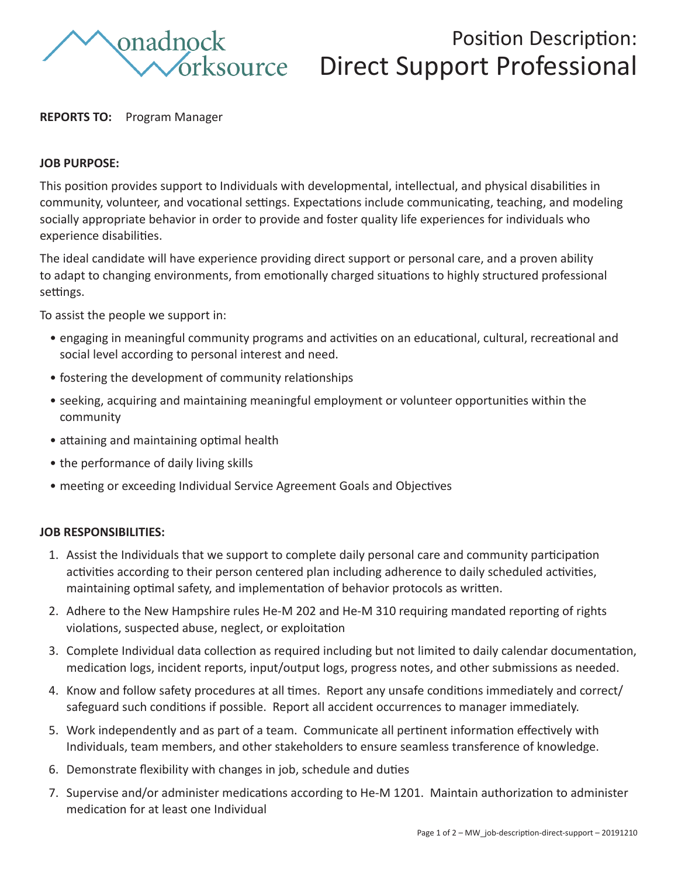

# Position Description: Direct Support Professional

## **REPORTS TO:** Program Manager

## **JOB PURPOSE:**

This position provides support to Individuals with developmental, intellectual, and physical disabilities in community, volunteer, and vocational settings. Expectations include communicating, teaching, and modeling socially appropriate behavior in order to provide and foster quality life experiences for individuals who experience disabilities.

The ideal candidate will have experience providing direct support or personal care, and a proven ability to adapt to changing environments, from emotionally charged situations to highly structured professional settings.

To assist the people we support in:

- engaging in meaningful community programs and activities on an educational, cultural, recreational and social level according to personal interest and need.
- fostering the development of community relationships
- seeking, acquiring and maintaining meaningful employment or volunteer opportunities within the community
- attaining and maintaining optimal health
- the performance of daily living skills
- meeting or exceeding Individual Service Agreement Goals and Objectives

#### **JOB RESPONSIBILITIES:**

- 1. Assist the Individuals that we support to complete daily personal care and community participation activities according to their person centered plan including adherence to daily scheduled activities, maintaining optimal safety, and implementation of behavior protocols as written.
- 2. Adhere to the New Hampshire rules He-M 202 and He-M 310 requiring mandated reporting of rights violations, suspected abuse, neglect, or exploitation
- 3. Complete Individual data collection as required including but not limited to daily calendar documentation, medication logs, incident reports, input/output logs, progress notes, and other submissions as needed.
- 4. Know and follow safety procedures at all times. Report any unsafe conditions immediately and correct/ safeguard such conditions if possible. Report all accident occurrences to manager immediately.
- 5. Work independently and as part of a team. Communicate all pertinent information effectively with Individuals, team members, and other stakeholders to ensure seamless transference of knowledge.
- 6. Demonstrate flexibility with changes in job, schedule and duties
- 7. Supervise and/or administer medications according to He-M 1201. Maintain authorization to administer medication for at least one Individual